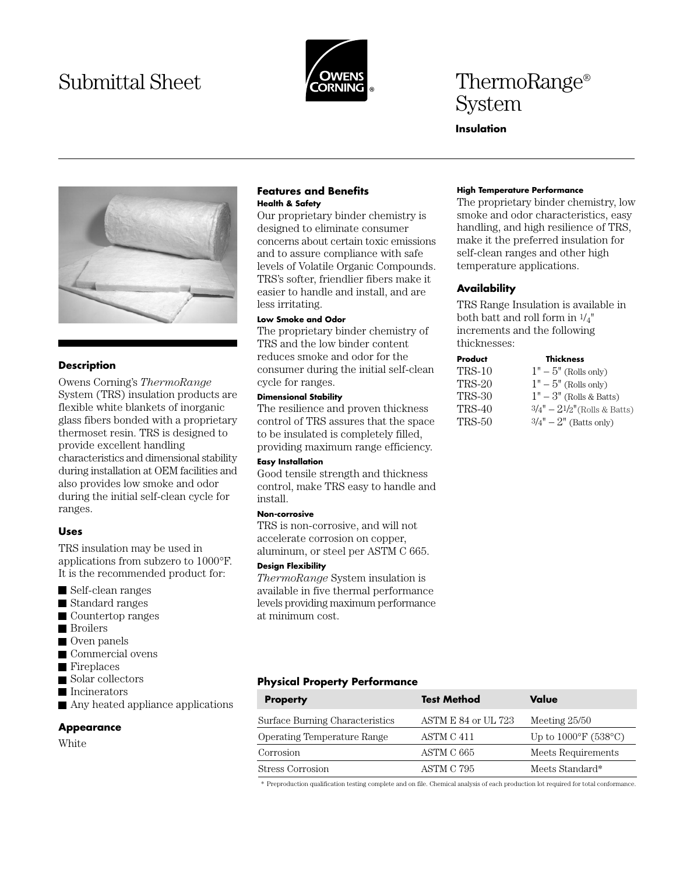# Submittal Sheet **ThermoRange®** ThermoRange<sup>®</sup>



# System

# **Insulation**



# **Description**

Owens Corning's *ThermoRange* System (TRS) insulation products are flexible white blankets of inorganic glass fibers bonded with a proprietary thermoset resin. TRS is designed to provide excellent handling characteristics and dimensional stability during installation at OEM facilities and also provides low smoke and odor during the initial self-clean cycle for ranges.

# **Uses**

TRS insulation may be used in applications from subzero to 1000°F. It is the recommended product for:

- Self-clean ranges
- Standard ranges
- Countertop ranges
- Broilers
- Oven panels
- Commercial ovens
- Fireplaces
- Solar collectors
- **Incinerators**
- Any heated appliance applications

#### **Appearance**

White

#### **Features and Benefits Health & Safety**

Our proprietary binder chemistry is designed to eliminate consumer concerns about certain toxic emissions and to assure compliance with safe levels of Volatile Organic Compounds. TRS's softer, friendlier fibers make it easier to handle and install, and are less irritating.

#### **Low Smoke and Odor**

The proprietary binder chemistry of TRS and the low binder content reduces smoke and odor for the consumer during the initial self-clean cycle for ranges.

# **Dimensional Stability**

The resilience and proven thickness control of TRS assures that the space to be insulated is completely filled, providing maximum range efficiency.

# **Easy Installation**

Good tensile strength and thickness control, make TRS easy to handle and install.

#### **Non-corrosive**

TRS is non-corrosive, and will not accelerate corrosion on copper, aluminum, or steel per ASTM C 665.

#### **Design Flexibility**

*ThermoRange* System insulation is available in five thermal performance levels providing maximum performance at minimum cost.

# **Physical Property Performance**

| <b>Property</b>                    | <b>Test Method</b>  | Value                                     |
|------------------------------------|---------------------|-------------------------------------------|
| Surface Burning Characteristics    | ASTM E 84 or UL 723 | Meeting $25/50$                           |
| <b>Operating Temperature Range</b> | ASTM C 411          | Up to $1000^{\circ}$ F (538 $^{\circ}$ C) |
| Corrosion                          | ASTM C 665          | Meets Requirements                        |
| Stress Corrosion                   | ASTM C 795          | Meets Standard*                           |

\* Preproduction qualification testing complete and on file. Chemical analysis of each production lot required for total conformance.

#### **High Temperature Performance**

The proprietary binder chemistry, low smoke and odor characteristics, easy handling, and high resilience of TRS, make it the preferred insulation for self-clean ranges and other high temperature applications.

#### **Availability**

TRS Range Insulation is available in both batt and roll form in 1/4" increments and the following thicknesses:

# **Product Thickness**

| TRS-10 | $1" - 5"$ (Rolls only)         |
|--------|--------------------------------|
| TRS-20 | $1" - 5"$ (Rolls only)         |
| TRS-30 | $1" - 3"$ (Rolls & Batts)      |
| TRS-40 | $3/4" - 21/2"$ (Rolls & Batts) |
| TRS-50 | $3/4" - 2"$ (Batts only)       |
|        |                                |